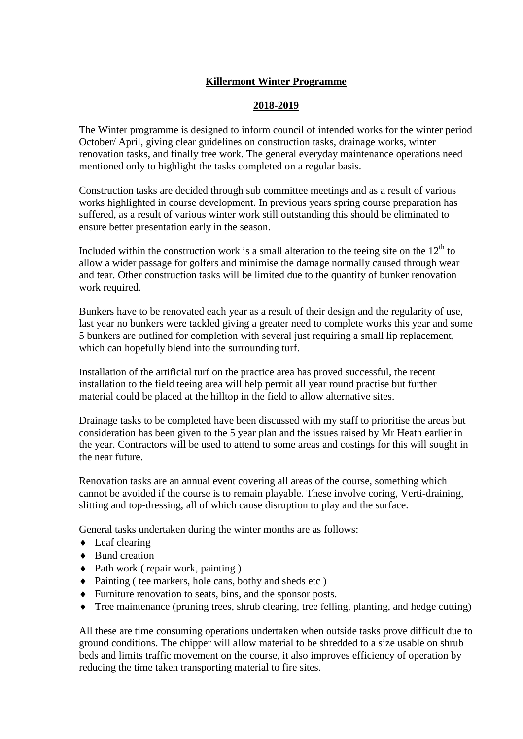# **Killermont Winter Programme**

### **2018-2019**

The Winter programme is designed to inform council of intended works for the winter period October/ April, giving clear guidelines on construction tasks, drainage works, winter renovation tasks, and finally tree work. The general everyday maintenance operations need mentioned only to highlight the tasks completed on a regular basis.

Construction tasks are decided through sub committee meetings and as a result of various works highlighted in course development. In previous years spring course preparation has suffered, as a result of various winter work still outstanding this should be eliminated to ensure better presentation early in the season.

Included within the construction work is a small alteration to the teeing site on the  $12<sup>th</sup>$  to allow a wider passage for golfers and minimise the damage normally caused through wear and tear. Other construction tasks will be limited due to the quantity of bunker renovation work required.

Bunkers have to be renovated each year as a result of their design and the regularity of use, last year no bunkers were tackled giving a greater need to complete works this year and some 5 bunkers are outlined for completion with several just requiring a small lip replacement, which can hopefully blend into the surrounding turf.

Installation of the artificial turf on the practice area has proved successful, the recent installation to the field teeing area will help permit all year round practise but further material could be placed at the hilltop in the field to allow alternative sites.

Drainage tasks to be completed have been discussed with my staff to prioritise the areas but consideration has been given to the 5 year plan and the issues raised by Mr Heath earlier in the year. Contractors will be used to attend to some areas and costings for this will sought in the near future.

Renovation tasks are an annual event covering all areas of the course, something which cannot be avoided if the course is to remain playable. These involve coring, Verti-draining, slitting and top-dressing, all of which cause disruption to play and the surface.

General tasks undertaken during the winter months are as follows:

- Leaf clearing
- ◆ Bund creation
- Path work ( repair work, painting )
- Painting ( tee markers, hole cans, bothy and sheds etc )
- Furniture renovation to seats, bins, and the sponsor posts.
- Tree maintenance (pruning trees, shrub clearing, tree felling, planting, and hedge cutting)

All these are time consuming operations undertaken when outside tasks prove difficult due to ground conditions. The chipper will allow material to be shredded to a size usable on shrub beds and limits traffic movement on the course, it also improves efficiency of operation by reducing the time taken transporting material to fire sites.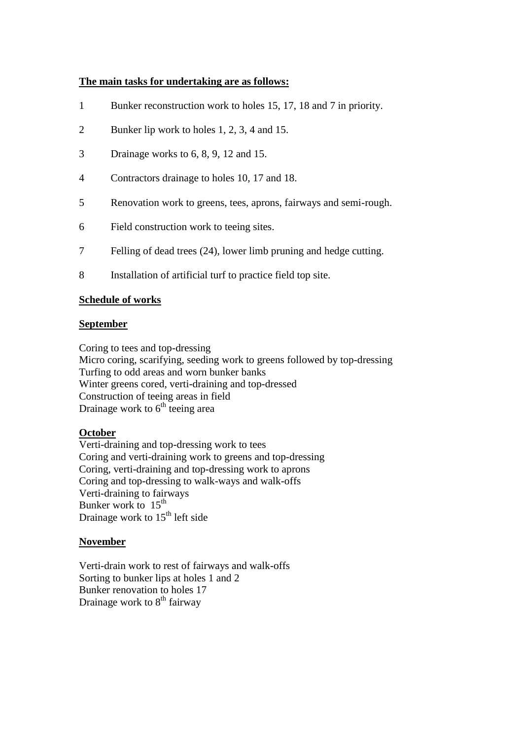### **The main tasks for undertaking are as follows:**

- 1 Bunker reconstruction work to holes 15, 17, 18 and 7 in priority.
- 2 Bunker lip work to holes 1, 2, 3, 4 and 15.
- 3 Drainage works to 6, 8, 9, 12 and 15.
- 4 Contractors drainage to holes 10, 17 and 18.
- 5 Renovation work to greens, tees, aprons, fairways and semi-rough.
- 6 Field construction work to teeing sites.
- 7 Felling of dead trees (24), lower limb pruning and hedge cutting.
- 8 Installation of artificial turf to practice field top site.

#### **Schedule of works**

#### **September**

Coring to tees and top-dressing Micro coring, scarifying, seeding work to greens followed by top-dressing Turfing to odd areas and worn bunker banks Winter greens cored, verti-draining and top-dressed Construction of teeing areas in field Drainage work to  $6<sup>th</sup>$  teeing area

### **October**

Verti-draining and top-dressing work to tees Coring and verti-draining work to greens and top-dressing Coring, verti-draining and top-dressing work to aprons Coring and top-dressing to walk-ways and walk-offs Verti-draining to fairways Bunker work to  $15<sup>th</sup>$ Drainage work to  $15<sup>th</sup>$  left side

### **November**

Verti-drain work to rest of fairways and walk-offs Sorting to bunker lips at holes 1 and 2 Bunker renovation to holes 17 Drainage work to 8<sup>th</sup> fairway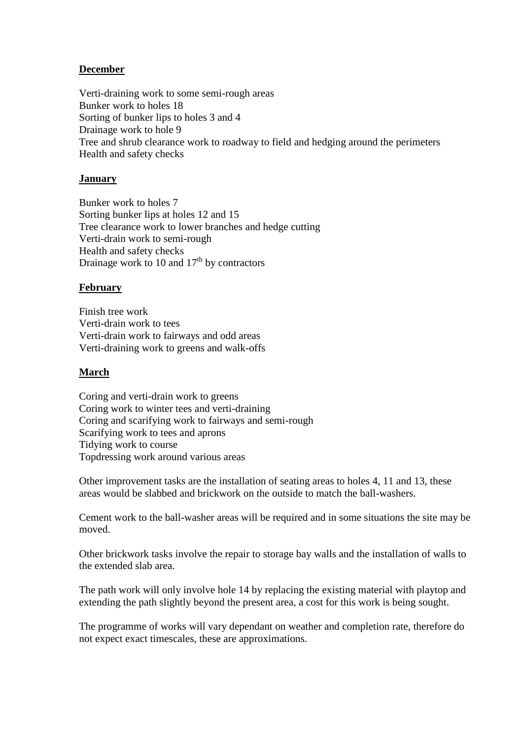# **December**

Verti-draining work to some semi-rough areas Bunker work to holes 18 Sorting of bunker lips to holes 3 and 4 Drainage work to hole 9 Tree and shrub clearance work to roadway to field and hedging around the perimeters Health and safety checks

# **January**

Bunker work to holes 7 Sorting bunker lips at holes 12 and 15 Tree clearance work to lower branches and hedge cutting Verti-drain work to semi-rough Health and safety checks Drainage work to 10 and  $17<sup>th</sup>$  by contractors

# **February**

Finish tree work Verti-drain work to tees Verti-drain work to fairways and odd areas Verti-draining work to greens and walk-offs

## **March**

Coring and verti-drain work to greens Coring work to winter tees and verti-draining Coring and scarifying work to fairways and semi-rough Scarifying work to tees and aprons Tidying work to course Topdressing work around various areas

Other improvement tasks are the installation of seating areas to holes 4, 11 and 13, these areas would be slabbed and brickwork on the outside to match the ball-washers.

Cement work to the ball-washer areas will be required and in some situations the site may be moved.

Other brickwork tasks involve the repair to storage bay walls and the installation of walls to the extended slab area.

The path work will only involve hole 14 by replacing the existing material with playtop and extending the path slightly beyond the present area, a cost for this work is being sought.

The programme of works will vary dependant on weather and completion rate, therefore do not expect exact timescales, these are approximations.